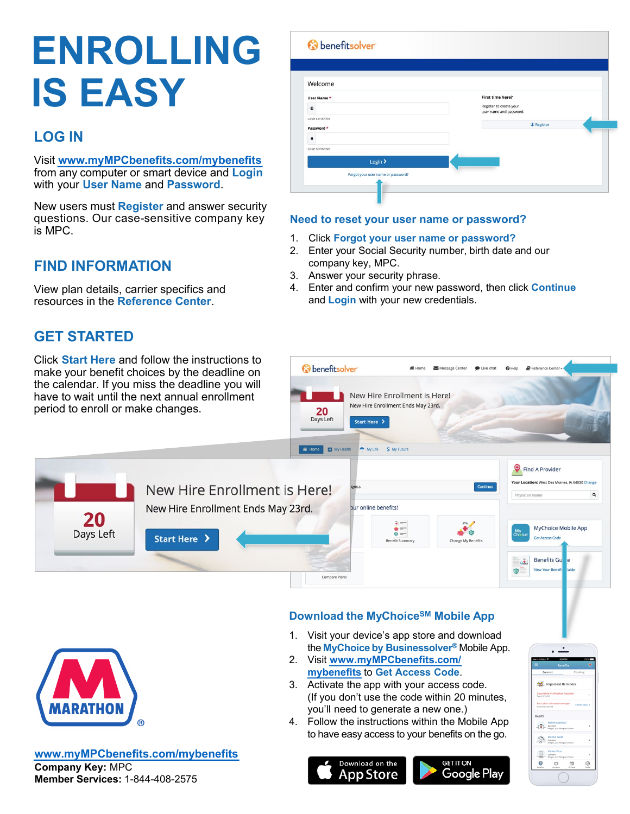# **ENROLLING IS EASY**

# **LOG IN**

Visit **www.myMPCbenefits.com[/mybenefits](http://www.myMPCbenefits.com/mybenefits)**  from any computer or smart device and **Login** with your **User Name** and **Password**.

New users must **Register** and answer security questions. Our case-sensitive company key is MPC.

## **FIND INFORMATION**

View plan details, carrier specifics and resources in the **Reference Center**.

## **GET STARTED**

| Welcome                            |                                                    |
|------------------------------------|----------------------------------------------------|
| User Name*                         | First time here?                                   |
| $\circledcirc$                     | Register to create your<br>user name and password. |
| case sensitive                     |                                                    |
| Password *                         | <sup>©</sup> Register                              |
| $\mathbf{a}$                       |                                                    |
| case sensitive                     |                                                    |
| Login >                            |                                                    |
| Forgot your user name or password? |                                                    |

### **Need to reset your user name or password?**

- 1. Click **Forgot your user name or password?**
- 2. Enter your Social Security number, birth date and our company key, MPC.
- 3. Answer your security phrase.
- 4. Enter and confirm your new password, then click **Continue** and **Login** with your new credentials.





#### **www.[myMPCbenefits](http://www.myMPCbenefits.com/mybenefits).com/mybenefits Company Key:** MPC

**Member Services:** 1-844-408-2575

## **Download the MyChoiceSM Mobile App**

- 1. Visit your device's app store and download the **MyChoice by Businessolver®** Mobile App.
- 2. Visit **www.[myMPCbenefits](http://www.myMPCbenefits.com/mybenefits).com/ [mybenefits](http://www.myMPCbenefits.com/mybenefits)** to **Get Access Code**.
- 3. Activate the app with your access code. (If you don't use the code within 20 minutes, you'll need to generate a new one.)
- 4. Follow the instructions within the Mobile App to have easy access to your benefits on the go.